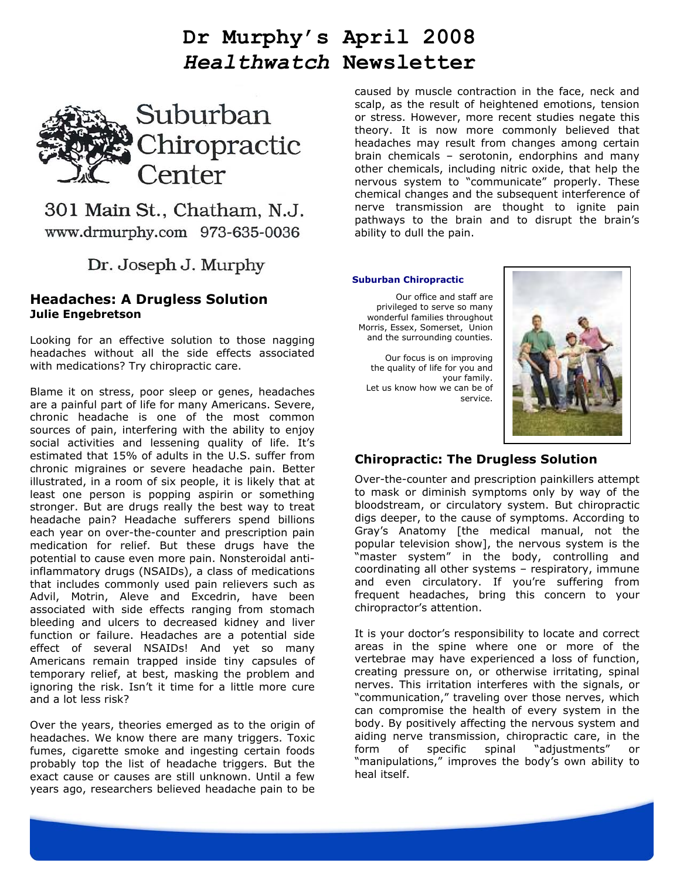# **Dr Murphy's April 2008**  *Healthwatch* **Newsletter**



301 Main St., Chatham, N.J. www.drmurphy.com 973-635-0036

Dr. Joseph J. Murphy

## **Headaches: A Drugless Solution Julie Engebretson**

Looking for an effective solution to those nagging headaches without all the side effects associated with medications? Try chiropractic care.

Blame it on stress, poor sleep or genes, headaches are a painful part of life for many Americans. Severe, chronic headache is one of the most common sources of pain, interfering with the ability to enjoy social activities and lessening quality of life. It's estimated that 15% of adults in the U.S. suffer from chronic migraines or severe headache pain. Better illustrated, in a room of six people, it is likely that at least one person is popping aspirin or something stronger. But are drugs really the best way to treat headache pain? Headache sufferers spend billions each year on over-the-counter and prescription pain medication for relief. But these drugs have the potential to cause even more pain. Nonsteroidal antiinflammatory drugs (NSAIDs), a class of medications that includes commonly used pain relievers such as Advil, Motrin, Aleve and Excedrin, have been associated with side effects ranging from stomach bleeding and ulcers to decreased kidney and liver function or failure. Headaches are a potential side effect of several NSAIDs! And yet so many Americans remain trapped inside tiny capsules of temporary relief, at best, masking the problem and ignoring the risk. Isn't it time for a little more cure and a lot less risk?

Over the years, theories emerged as to the origin of headaches. We know there are many triggers. Toxic fumes, cigarette smoke and ingesting certain foods probably top the list of headache triggers. But the exact cause or causes are still unknown. Until a few years ago, researchers believed headache pain to be

caused by muscle contraction in the face, neck and scalp, as the result of heightened emotions, tension or stress. However, more recent studies negate this theory. It is now more commonly believed that headaches may result from changes among certain brain chemicals – serotonin, endorphins and many other chemicals, including nitric oxide, that help the nervous system to "communicate" properly. These chemical changes and the subsequent interference of nerve transmission are thought to ignite pain pathways to the brain and to disrupt the brain's ability to dull the pain.

#### **Suburban Chiropractic**

Our office and staff are privileged to serve so many wonderful families throughout Morris, Essex, Somerset, Union and the surrounding counties.

Our focus is on improving the quality of life for you and your family. Let us know how we can be of service.



## **Chiropractic: The Drugless Solution**

Over-the-counter and prescription painkillers attempt to mask or diminish symptoms only by way of the bloodstream, or circulatory system. But chiropractic digs deeper, to the cause of symptoms. According to Gray's Anatomy [the medical manual, not the popular television show], the nervous system is the "master system" in the body, controlling and coordinating all other systems – respiratory, immune and even circulatory. If you're suffering from frequent headaches, bring this concern to your chiropractor's attention.

It is your doctor's responsibility to locate and correct areas in the spine where one or more of the vertebrae may have experienced a loss of function, creating pressure on, or otherwise irritating, spinal nerves. This irritation interferes with the signals, or "communication," traveling over those nerves, which can compromise the health of every system in the body. By positively affecting the nervous system and aiding nerve transmission, chiropractic care, in the form of specific spinal "adjustments" or form of specific spinal "adjustments" or "manipulations," improves the body's own ability to heal itself.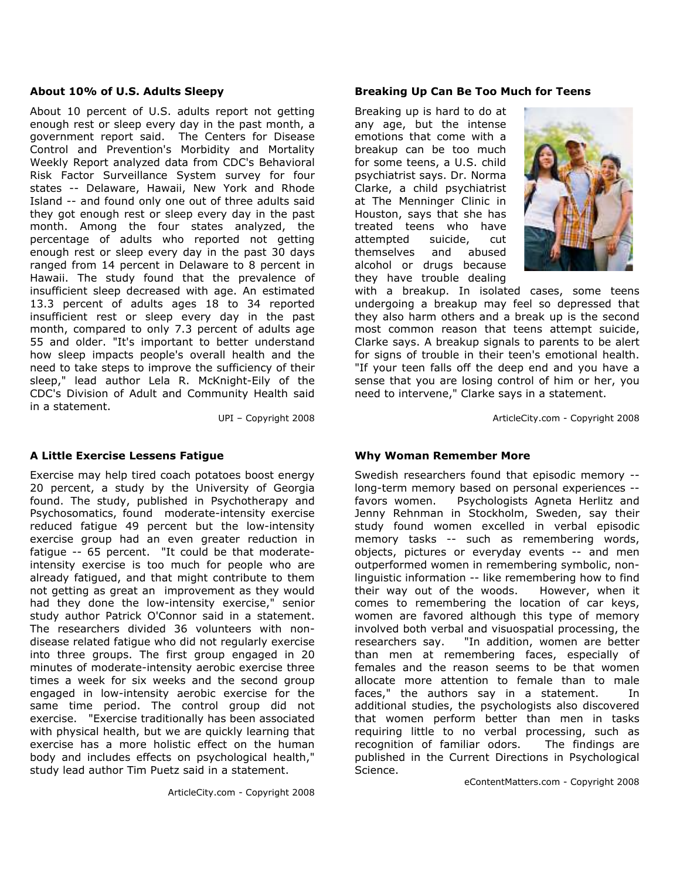#### **About 10% of U.S. Adults Sleepy**

About 10 percent of U.S. adults report not getting enough rest or sleep every day in the past month, a government report said. The Centers for Disease Control and Prevention's Morbidity and Mortality Weekly Report analyzed data from CDC's Behavioral Risk Factor Surveillance System survey for four states -- Delaware, Hawaii, New York and Rhode Island -- and found only one out of three adults said they got enough rest or sleep every day in the past month. Among the four states analyzed, the percentage of adults who reported not getting enough rest or sleep every day in the past 30 days ranged from 14 percent in Delaware to 8 percent in Hawaii. The study found that the prevalence of insufficient sleep decreased with age. An estimated 13.3 percent of adults ages 18 to 34 reported insufficient rest or sleep every day in the past month, compared to only 7.3 percent of adults age 55 and older. "It's important to better understand how sleep impacts people's overall health and the need to take steps to improve the sufficiency of their sleep," lead author Lela R. McKnight-Eily of the CDC's Division of Adult and Community Health said in a statement.

UPI – Copyright 2008

## **A Little Exercise Lessens Fatigue**

Exercise may help tired coach potatoes boost energy 20 percent, a study by the University of Georgia found. The study, published in Psychotherapy and Psychosomatics, found moderate-intensity exercise reduced fatigue 49 percent but the low-intensity exercise group had an even greater reduction in fatigue -- 65 percent. "It could be that moderateintensity exercise is too much for people who are already fatigued, and that might contribute to them not getting as great an improvement as they would had they done the low-intensity exercise," senior study author Patrick O'Connor said in a statement. The researchers divided 36 volunteers with nondisease related fatigue who did not regularly exercise into three groups. The first group engaged in 20 minutes of moderate-intensity aerobic exercise three times a week for six weeks and the second group engaged in low-intensity aerobic exercise for the same time period. The control group did not exercise. "Exercise traditionally has been associated with physical health, but we are quickly learning that exercise has a more holistic effect on the human body and includes effects on psychological health," study lead author Tim Puetz said in a statement.

#### **Breaking Up Can Be Too Much for Teens**

Breaking up is hard to do at any age, but the intense emotions that come with a breakup can be too much for some teens, a U.S. child psychiatrist says. Dr. Norma Clarke, a child psychiatrist at The Menninger Clinic in Houston, says that she has treated teens who have attempted suicide, cut themselves and abused alcohol or drugs because they have trouble dealing



with a breakup. In isolated cases, some teens undergoing a breakup may feel so depressed that they also harm others and a break up is the second most common reason that teens attempt suicide, Clarke says. A breakup signals to parents to be alert for signs of trouble in their teen's emotional health. "If your teen falls off the deep end and you have a sense that you are losing control of him or her, you need to intervene," Clarke says in a statement.

ArticleCity.com - Copyright 2008

## **Why Woman Remember More**

Swedish researchers found that episodic memory - long-term memory based on personal experiences - favors women. Psychologists Agneta Herlitz and Jenny Rehnman in Stockholm, Sweden, say their study found women excelled in verbal episodic memory tasks -- such as remembering words, objects, pictures or everyday events -- and men outperformed women in remembering symbolic, nonlinguistic information -- like remembering how to find their way out of the woods. However, when it comes to remembering the location of car keys, women are favored although this type of memory involved both verbal and visuospatial processing, the researchers say. "In addition, women are better than men at remembering faces, especially of females and the reason seems to be that women allocate more attention to female than to male faces," the authors say in a statement. In additional studies, the psychologists also discovered that women perform better than men in tasks requiring little to no verbal processing, such as recognition of familiar odors. The findings are published in the Current Directions in Psychological Science.